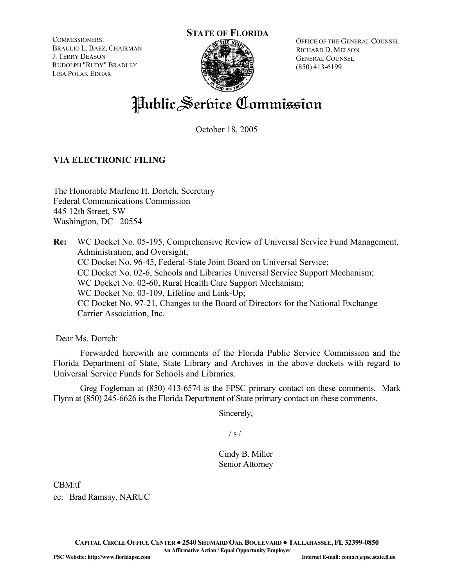COMMISSIONERS: BRAULIO L. BAEZ, CHAIRMAN J. TERRY DEASON RUDOLPH "RUDY" BRADLEY LISA POLAK EDGAR





OFFICE OF THE GENERAL COUNSEL RICHARD D. MELSON GENERAL COUNSEL (850) 413-6199

# Public Service Commission

October 18, 2005

# **VIA ELECTRONIC FILING**

The Honorable Marlene H. Dortch, Secretary Federal Communications Commission 445 12th Street, SW Washington, DC 20554

**Re:** WC Docket No. 05-195, Comprehensive Review of Universal Service Fund Management, Administration, and Oversight; CC Docket No. 96-45, Federal-State Joint Board on Universal Service; CC Docket No. 02-6, Schools and Libraries Universal Service Support Mechanism; WC Docket No. 02-60, Rural Health Care Support Mechanism; WC Docket No. 03-109, Lifeline and Link-Up; CC Docket No. 97-21, Changes to the Board of Directors for the National Exchange Carrier Association, Inc.

Dear Ms. Dortch:

 Forwarded herewith are comments of the Florida Public Service Commission and the Florida Department of State, State Library and Archives in the above dockets with regard to Universal Service Funds for Schools and Libraries.

Greg Fogleman at (850) 413-6574 is the FPSC primary contact on these comments. Mark Flynn at (850) 245-6626 is the Florida Department of State primary contact on these comments.

Sincerely,

 $/ s /$ 

Cindy B. Miller Senior Attorney

CBM:tf

cc: Brad Ramsay, NARUC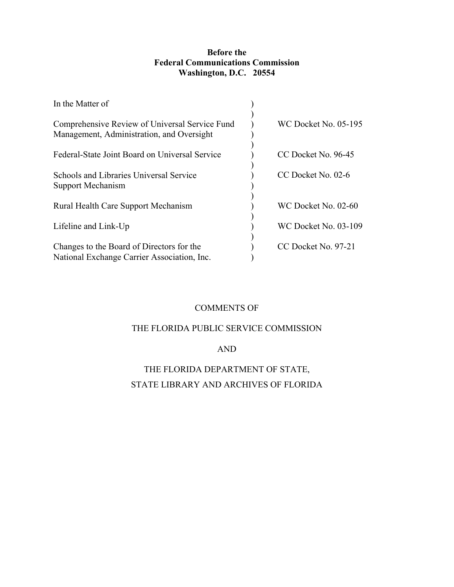# **Before the Federal Communications Commission Washington, D.C. 20554**

| In the Matter of                                                                            |                             |
|---------------------------------------------------------------------------------------------|-----------------------------|
| Comprehensive Review of Universal Service Fund<br>Management, Administration, and Oversight | <b>WC Docket No. 05-195</b> |
| Federal-State Joint Board on Universal Service                                              | CC Docket No. 96-45         |
| Schools and Libraries Universal Service<br>Support Mechanism                                | CC Docket No. 02-6          |
| Rural Health Care Support Mechanism                                                         | WC Docket No. 02-60         |
| Lifeline and Link-Up                                                                        | <b>WC Docket No. 03-109</b> |
| Changes to the Board of Directors for the<br>National Exchange Carrier Association, Inc.    | CC Docket No. 97-21         |

# COMMENTS OF

# THE FLORIDA PUBLIC SERVICE COMMISSION

# AND

# THE FLORIDA DEPARTMENT OF STATE, STATE LIBRARY AND ARCHIVES OF FLORIDA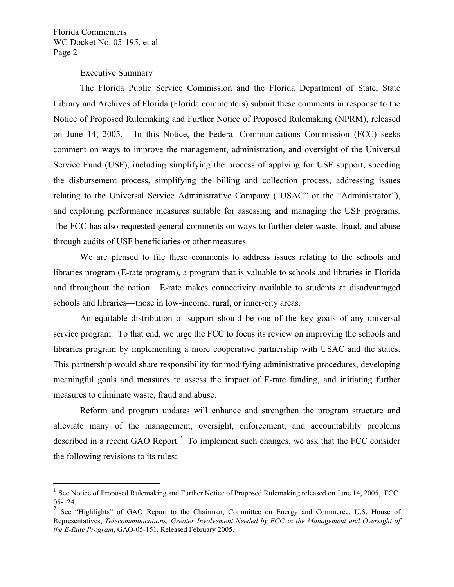$\overline{a}$ 

#### Executive Summary

The Florida Public Service Commission and the Florida Department of State, State Library and Archives of Florida (Florida commenters) submit these comments in response to the Notice of Proposed Rulemaking and Further Notice of Proposed Rulemaking (NPRM), released on June 14,  $2005<sup>1</sup>$  In this Notice, the Federal Communications Commission (FCC) seeks comment on ways to improve the management, administration, and oversight of the Universal Service Fund (USF), including simplifying the process of applying for USF support, speeding the disbursement process, simplifying the billing and collection process, addressing issues relating to the Universal Service Administrative Company ("USAC" or the "Administrator"), and exploring performance measures suitable for assessing and managing the USF programs. The FCC has also requested general comments on ways to further deter waste, fraud, and abuse through audits of USF beneficiaries or other measures.

We are pleased to file these comments to address issues relating to the schools and libraries program (E-rate program), a program that is valuable to schools and libraries in Florida and throughout the nation. E-rate makes connectivity available to students at disadvantaged schools and libraries—those in low-income, rural, or inner-city areas.

An equitable distribution of support should be one of the key goals of any universal service program. To that end, we urge the FCC to focus its review on improving the schools and libraries program by implementing a more cooperative partnership with USAC and the states. This partnership would share responsibility for modifying administrative procedures, developing meaningful goals and measures to assess the impact of E-rate funding, and initiating further measures to eliminate waste, fraud and abuse.

Reform and program updates will enhance and strengthen the program structure and alleviate many of the management, oversight, enforcement, and accountability problems described in a recent GAO Report.<sup>2</sup> To implement such changes, we ask that the FCC consider the following revisions to its rules:

<sup>1</sup> See Notice of Proposed Rulemaking and Further Notice of Proposed Rulemaking released on June 14, 2005, FCC 05-124.

<sup>2</sup> See "Highlights" of GAO Report to the Chairman, Committee on Energy and Commerce, U.S. House of Representatives, *Telecommunications, Greater Involvement Needed by FCC in the Management and Oversight of the E-Rate Program*, GAO-05-151, Released February 2005.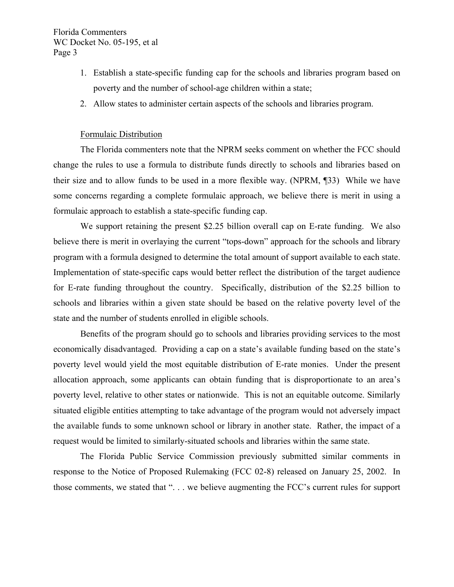- 1. Establish a state-specific funding cap for the schools and libraries program based on poverty and the number of school-age children within a state;
- 2. Allow states to administer certain aspects of the schools and libraries program.

#### Formulaic Distribution

 The Florida commenters note that the NPRM seeks comment on whether the FCC should change the rules to use a formula to distribute funds directly to schools and libraries based on their size and to allow funds to be used in a more flexible way. (NPRM, ¶33) While we have some concerns regarding a complete formulaic approach, we believe there is merit in using a formulaic approach to establish a state-specific funding cap.

We support retaining the present \$2.25 billion overall cap on E-rate funding. We also believe there is merit in overlaying the current "tops-down" approach for the schools and library program with a formula designed to determine the total amount of support available to each state. Implementation of state-specific caps would better reflect the distribution of the target audience for E-rate funding throughout the country. Specifically, distribution of the \$2.25 billion to schools and libraries within a given state should be based on the relative poverty level of the state and the number of students enrolled in eligible schools.

 Benefits of the program should go to schools and libraries providing services to the most economically disadvantaged. Providing a cap on a state's available funding based on the state's poverty level would yield the most equitable distribution of E-rate monies. Under the present allocation approach, some applicants can obtain funding that is disproportionate to an area's poverty level, relative to other states or nationwide. This is not an equitable outcome. Similarly situated eligible entities attempting to take advantage of the program would not adversely impact the available funds to some unknown school or library in another state. Rather, the impact of a request would be limited to similarly-situated schools and libraries within the same state.

The Florida Public Service Commission previously submitted similar comments in response to the Notice of Proposed Rulemaking (FCC 02-8) released on January 25, 2002. In those comments, we stated that ". . . we believe augmenting the FCC's current rules for support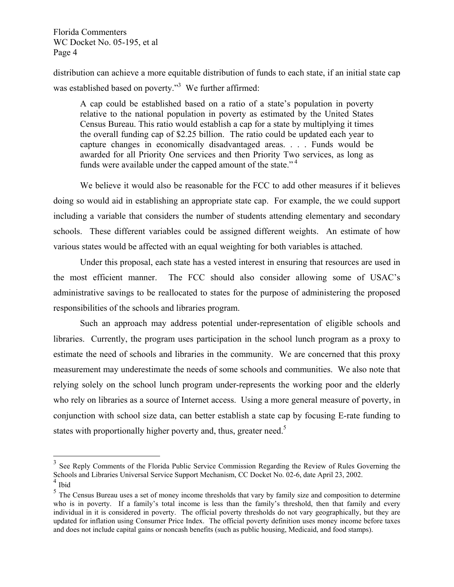distribution can achieve a more equitable distribution of funds to each state, if an initial state cap was established based on poverty."<sup>3</sup> We further affirmed:

A cap could be established based on a ratio of a state's population in poverty relative to the national population in poverty as estimated by the United States Census Bureau. This ratio would establish a cap for a state by multiplying it times the overall funding cap of \$2.25 billion. The ratio could be updated each year to capture changes in economically disadvantaged areas. . . . Funds would be awarded for all Priority One services and then Priority Two services, as long as funds were available under the capped amount of the state."<sup>4</sup>

We believe it would also be reasonable for the FCC to add other measures if it believes doing so would aid in establishing an appropriate state cap. For example, the we could support including a variable that considers the number of students attending elementary and secondary schools. These different variables could be assigned different weights. An estimate of how various states would be affected with an equal weighting for both variables is attached.

Under this proposal, each state has a vested interest in ensuring that resources are used in the most efficient manner. The FCC should also consider allowing some of USAC's administrative savings to be reallocated to states for the purpose of administering the proposed responsibilities of the schools and libraries program.

Such an approach may address potential under-representation of eligible schools and libraries. Currently, the program uses participation in the school lunch program as a proxy to estimate the need of schools and libraries in the community. We are concerned that this proxy measurement may underestimate the needs of some schools and communities. We also note that relying solely on the school lunch program under-represents the working poor and the elderly who rely on libraries as a source of Internet access. Using a more general measure of poverty, in conjunction with school size data, can better establish a state cap by focusing E-rate funding to states with proportionally higher poverty and, thus, greater need.<sup>5</sup>

 $\overline{a}$ 

 $3$  See Reply Comments of the Florida Public Service Commission Regarding the Review of Rules Governing the Schools and Libraries Universal Service Support Mechanism, CC Docket No. 02-6, date April 23, 2002.  $\frac{4}{4}$  Ibid

<sup>&</sup>lt;sup>5</sup> The Census Bureau uses a set of money income thresholds that vary by family size and composition to determine who is in poverty. If a family's total income is less than the family's threshold, then that family and every individual in it is considered in poverty. The official poverty thresholds do not vary geographically, but they are updated for inflation using Consumer Price Index. The official poverty definition uses money income before taxes and does not include capital gains or noncash benefits (such as public housing, Medicaid, and food stamps).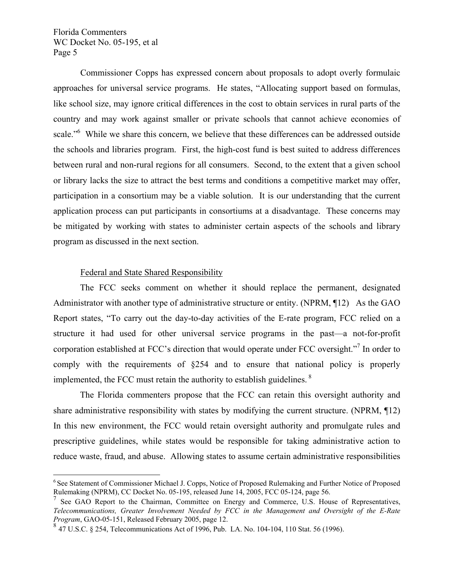Commissioner Copps has expressed concern about proposals to adopt overly formulaic approaches for universal service programs. He states, "Allocating support based on formulas, like school size, may ignore critical differences in the cost to obtain services in rural parts of the country and may work against smaller or private schools that cannot achieve economies of scale."<sup>6</sup> While we share this concern, we believe that these differences can be addressed outside the schools and libraries program. First, the high-cost fund is best suited to address differences between rural and non-rural regions for all consumers. Second, to the extent that a given school or library lacks the size to attract the best terms and conditions a competitive market may offer, participation in a consortium may be a viable solution. It is our understanding that the current application process can put participants in consortiums at a disadvantage. These concerns may be mitigated by working with states to administer certain aspects of the schools and library program as discussed in the next section.

#### Federal and State Shared Responsibility

 $\overline{a}$ 

The FCC seeks comment on whether it should replace the permanent, designated Administrator with another type of administrative structure or entity. (NPRM, ¶12) As the GAO Report states, "To carry out the day-to-day activities of the E-rate program, FCC relied on a structure it had used for other universal service programs in the past—a not-for-profit corporation established at FCC's direction that would operate under FCC oversight."<sup>7</sup> In order to comply with the requirements of §254 and to ensure that national policy is properly implemented, the FCC must retain the authority to establish guidelines. 8

 The Florida commenters propose that the FCC can retain this oversight authority and share administrative responsibility with states by modifying the current structure. (NPRM, 12) In this new environment, the FCC would retain oversight authority and promulgate rules and prescriptive guidelines, while states would be responsible for taking administrative action to reduce waste, fraud, and abuse. Allowing states to assume certain administrative responsibilities

<sup>&</sup>lt;sup>6</sup> See Statement of Commissioner Michael J. Copps, Notice of Proposed Rulemaking and Further Notice of Proposed Rulemaking (NPRM), CC Docket No. 05-195, released June 14, 2005, FCC 05-124, page 56.

 $<sup>7</sup>$  See GAO Report to the Chairman, Committee on Energy and Commerce, U.S. House of Representatives,</sup> *Telecommunications, Greater Involvement Needed by FCC in the Management and Oversight of the E-Rate Program*, GAO-05-151, Released February 2005, page 12.

 $8\,47$  U.S.C. § 254, Telecommunications Act of 1996, Pub. LA. No. 104-104, 110 Stat. 56 (1996).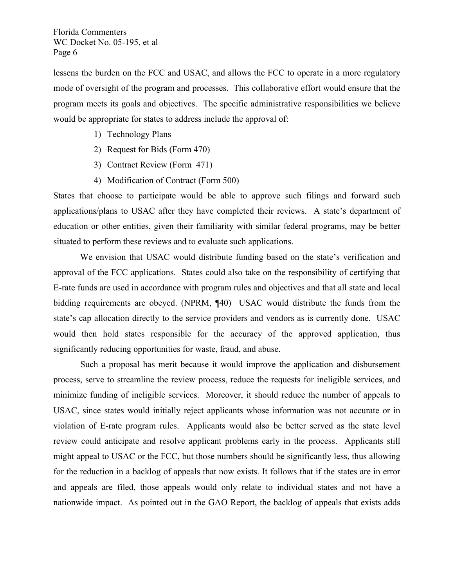lessens the burden on the FCC and USAC, and allows the FCC to operate in a more regulatory mode of oversight of the program and processes. This collaborative effort would ensure that the program meets its goals and objectives. The specific administrative responsibilities we believe would be appropriate for states to address include the approval of:

- 1) Technology Plans
- 2) Request for Bids (Form 470)
- 3) Contract Review (Form 471)
- 4) Modification of Contract (Form 500)

States that choose to participate would be able to approve such filings and forward such applications/plans to USAC after they have completed their reviews. A state's department of education or other entities, given their familiarity with similar federal programs, may be better situated to perform these reviews and to evaluate such applications.

We envision that USAC would distribute funding based on the state's verification and approval of the FCC applications. States could also take on the responsibility of certifying that E-rate funds are used in accordance with program rules and objectives and that all state and local bidding requirements are obeyed. (NPRM, ¶40) USAC would distribute the funds from the state's cap allocation directly to the service providers and vendors as is currently done. USAC would then hold states responsible for the accuracy of the approved application, thus significantly reducing opportunities for waste, fraud, and abuse.

 Such a proposal has merit because it would improve the application and disbursement process, serve to streamline the review process, reduce the requests for ineligible services, and minimize funding of ineligible services. Moreover, it should reduce the number of appeals to USAC, since states would initially reject applicants whose information was not accurate or in violation of E-rate program rules. Applicants would also be better served as the state level review could anticipate and resolve applicant problems early in the process. Applicants still might appeal to USAC or the FCC, but those numbers should be significantly less, thus allowing for the reduction in a backlog of appeals that now exists. It follows that if the states are in error and appeals are filed, those appeals would only relate to individual states and not have a nationwide impact. As pointed out in the GAO Report, the backlog of appeals that exists adds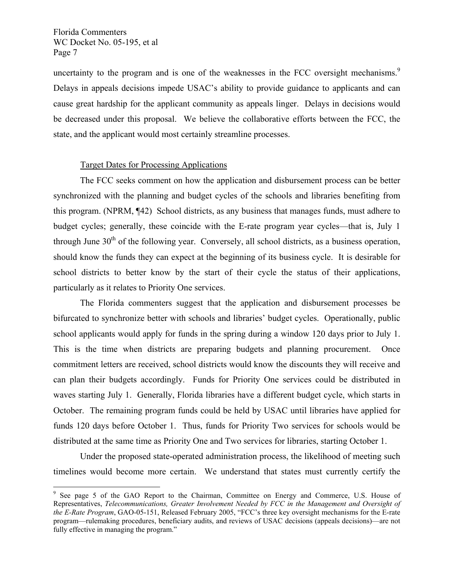$\overline{a}$ 

uncertainty to the program and is one of the weaknesses in the FCC oversight mechanisms.<sup>9</sup> Delays in appeals decisions impede USAC's ability to provide guidance to applicants and can cause great hardship for the applicant community as appeals linger. Delays in decisions would be decreased under this proposal. We believe the collaborative efforts between the FCC, the state, and the applicant would most certainly streamline processes.

# Target Dates for Processing Applications

The FCC seeks comment on how the application and disbursement process can be better synchronized with the planning and budget cycles of the schools and libraries benefiting from this program. (NPRM, ¶42) School districts, as any business that manages funds, must adhere to budget cycles; generally, these coincide with the E-rate program year cycles—that is, July 1 through June  $30<sup>th</sup>$  of the following year. Conversely, all school districts, as a business operation, should know the funds they can expect at the beginning of its business cycle. It is desirable for school districts to better know by the start of their cycle the status of their applications, particularly as it relates to Priority One services.

The Florida commenters suggest that the application and disbursement processes be bifurcated to synchronize better with schools and libraries' budget cycles. Operationally, public school applicants would apply for funds in the spring during a window 120 days prior to July 1. This is the time when districts are preparing budgets and planning procurement. Once commitment letters are received, school districts would know the discounts they will receive and can plan their budgets accordingly. Funds for Priority One services could be distributed in waves starting July 1. Generally, Florida libraries have a different budget cycle, which starts in October. The remaining program funds could be held by USAC until libraries have applied for funds 120 days before October 1. Thus, funds for Priority Two services for schools would be distributed at the same time as Priority One and Two services for libraries, starting October 1.

Under the proposed state-operated administration process, the likelihood of meeting such timelines would become more certain. We understand that states must currently certify the

<sup>&</sup>lt;sup>9</sup> See page 5 of the GAO Report to the Chairman, Committee on Energy and Commerce, U.S. House of Representatives, *Telecommunications, Greater Involvement Needed by FCC in the Management and Oversight of the E-Rate Program*, GAO-05-151, Released February 2005, "FCC's three key oversight mechanisms for the E-rate program—rulemaking procedures, beneficiary audits, and reviews of USAC decisions (appeals decisions)—are not fully effective in managing the program."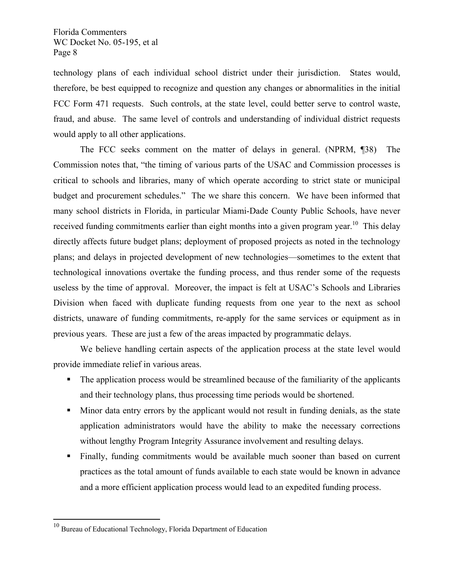technology plans of each individual school district under their jurisdiction. States would, therefore, be best equipped to recognize and question any changes or abnormalities in the initial FCC Form 471 requests. Such controls, at the state level, could better serve to control waste, fraud, and abuse. The same level of controls and understanding of individual district requests would apply to all other applications.

The FCC seeks comment on the matter of delays in general. (NPRM, ¶38) The Commission notes that, "the timing of various parts of the USAC and Commission processes is critical to schools and libraries, many of which operate according to strict state or municipal budget and procurement schedules." The we share this concern. We have been informed that many school districts in Florida, in particular Miami-Dade County Public Schools, have never received funding commitments earlier than eight months into a given program year.<sup>10</sup> This delay directly affects future budget plans; deployment of proposed projects as noted in the technology plans; and delays in projected development of new technologies—sometimes to the extent that technological innovations overtake the funding process, and thus render some of the requests useless by the time of approval. Moreover, the impact is felt at USAC's Schools and Libraries Division when faced with duplicate funding requests from one year to the next as school districts, unaware of funding commitments, re-apply for the same services or equipment as in previous years. These are just a few of the areas impacted by programmatic delays.

We believe handling certain aspects of the application process at the state level would provide immediate relief in various areas.

- The application process would be streamlined because of the familiarity of the applicants and their technology plans, thus processing time periods would be shortened.
- Minor data entry errors by the applicant would not result in funding denials, as the state application administrators would have the ability to make the necessary corrections without lengthy Program Integrity Assurance involvement and resulting delays.
- Finally, funding commitments would be available much sooner than based on current practices as the total amount of funds available to each state would be known in advance and a more efficient application process would lead to an expedited funding process.

<u>.</u>

 $10$  Bureau of Educational Technology, Florida Department of Education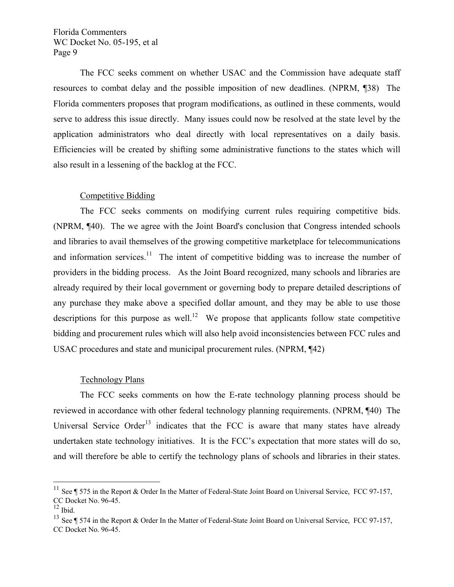The FCC seeks comment on whether USAC and the Commission have adequate staff resources to combat delay and the possible imposition of new deadlines. (NPRM, ¶38) The Florida commenters proposes that program modifications, as outlined in these comments, would serve to address this issue directly. Many issues could now be resolved at the state level by the application administrators who deal directly with local representatives on a daily basis. Efficiencies will be created by shifting some administrative functions to the states which will also result in a lessening of the backlog at the FCC.

# Competitive Bidding

The FCC seeks comments on modifying current rules requiring competitive bids. (NPRM, ¶40). The we agree with the Joint Board's conclusion that Congress intended schools and libraries to avail themselves of the growing competitive marketplace for telecommunications and information services.<sup>11</sup> The intent of competitive bidding was to increase the number of providers in the bidding process. As the Joint Board recognized, many schools and libraries are already required by their local government or governing body to prepare detailed descriptions of any purchase they make above a specified dollar amount, and they may be able to use those descriptions for this purpose as well.<sup>12</sup> We propose that applicants follow state competitive bidding and procurement rules which will also help avoid inconsistencies between FCC rules and USAC procedures and state and municipal procurement rules. (NPRM, ¶42)

# Technology Plans

The FCC seeks comments on how the E-rate technology planning process should be reviewed in accordance with other federal technology planning requirements. (NPRM, ¶40) The Universal Service Order<sup>13</sup> indicates that the FCC is aware that many states have already undertaken state technology initiatives. It is the FCC's expectation that more states will do so, and will therefore be able to certify the technology plans of schools and libraries in their states.

 $\overline{a}$ 

<sup>&</sup>lt;sup>11</sup> See ¶ 575 in the Report & Order In the Matter of Federal-State Joint Board on Universal Service, FCC 97-157, CC Docket No. 96-45.

 $12$  Ibid.

<sup>&</sup>lt;sup>13</sup> See ¶ 574 in the Report & Order In the Matter of Federal-State Joint Board on Universal Service, FCC 97-157, CC Docket No. 96-45.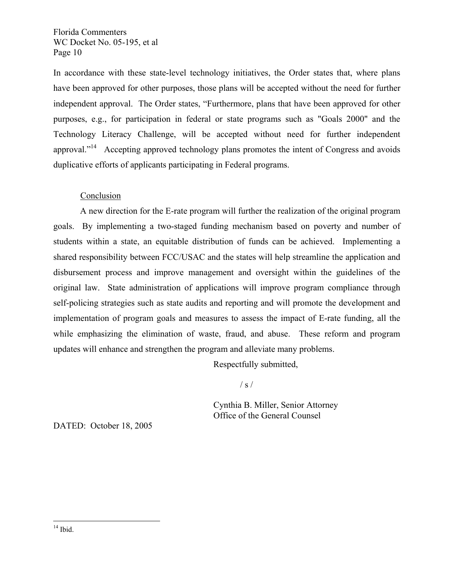In accordance with these state-level technology initiatives, the Order states that, where plans have been approved for other purposes, those plans will be accepted without the need for further independent approval. The Order states, "Furthermore, plans that have been approved for other purposes, e.g., for participation in federal or state programs such as "Goals 2000" and the Technology Literacy Challenge, will be accepted without need for further independent approval."<sup>14</sup> Accepting approved technology plans promotes the intent of Congress and avoids duplicative efforts of applicants participating in Federal programs.

# Conclusion

A new direction for the E-rate program will further the realization of the original program goals. By implementing a two-staged funding mechanism based on poverty and number of students within a state, an equitable distribution of funds can be achieved. Implementing a shared responsibility between FCC/USAC and the states will help streamline the application and disbursement process and improve management and oversight within the guidelines of the original law. State administration of applications will improve program compliance through self-policing strategies such as state audits and reporting and will promote the development and implementation of program goals and measures to assess the impact of E-rate funding, all the while emphasizing the elimination of waste, fraud, and abuse. These reform and program updates will enhance and strengthen the program and alleviate many problems.

Respectfully submitted,

 $\frac{1}{s}$  /

 Cynthia B. Miller, Senior Attorney Office of the General Counsel

DATED: October 18, 2005

 $\overline{a}$ 

 $14$  Ibid.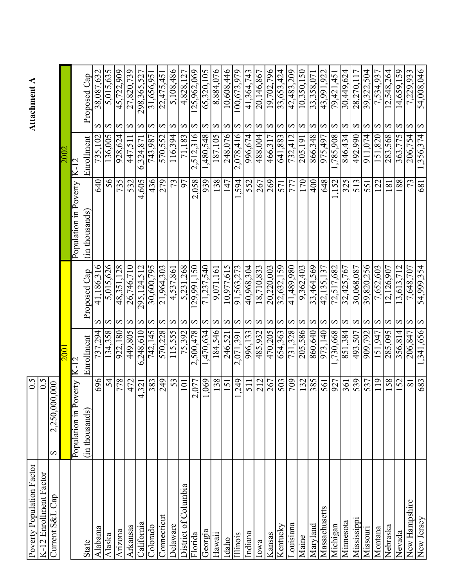| Poverty Population Factor | $\mathfrak{S}^0$                             |                          |                                      |                       |                        | Attachment A    |                                 |
|---------------------------|----------------------------------------------|--------------------------|--------------------------------------|-----------------------|------------------------|-----------------|---------------------------------|
| K-12 Enrollment Factor    | 0.5                                          |                          |                                      |                       |                        |                 |                                 |
| Current S&L Cap           | 0.000<br>2,250,000<br>$\boldsymbol{\varphi}$ |                          |                                      |                       |                        |                 |                                 |
|                           |                                              | 200                      |                                      |                       |                        |                 |                                 |
|                           | Population in Poverty                        | $K-1$                    |                                      | Population in Poverty | K-12                   |                 |                                 |
| <b>State</b>              | (in thousands)                               | Enrollment               | Proposed Cap                         | (in thousands)        | Enrollment             | Proposed Cap    |                                 |
| Alabama                   | 696                                          | 737,294                  | 41,186,316                           | 640                   | 735,102                |                 | 38,087,632                      |
| Alaska                    | 54                                           | 134,358                  | 5,015,626                            | 56                    | 136,005                |                 | 5,015,635                       |
| Arizona                   | 778                                          | 922,180                  | 48,351,128                           | 735                   | 928.624                |                 | 45,722,909                      |
| Arkansas                  | 472                                          | 449,805                  | 26,746,710                           | 532                   | $\overline{447}, 511$  |                 | 27,820,739                      |
| California                | 4,321                                        | 248,610<br>$\circ$       | 295.124.512                          | 605<br>4              | ,324,871<br>ن          |                 | 298,365,527                     |
| Dolorado                  | 383                                          | 742,145                  | 30,600,795                           | 436                   | 743,987                |                 | 31,656,951                      |
| <b>Connecticut</b>        | 249                                          | 570,228                  | 21,964,303                           | 279                   | 570,552                |                 | 22,475,451                      |
| Delaware                  | 53                                           | 115,555                  | 4,537,861                            | 73                    | 116,394                |                 | 5,108,486                       |
| District of Columbia      | 101                                          | 75,392                   | 231,268<br>$\overline{5}$            | 97                    | 71,183                 |                 | 4,828,127                       |
| Florida                   | 2,077                                        | 2,500,478                | 129,991.150                          | 058<br>$\mathcal{L}$  | 2,512,316              |                 | 25,962,069                      |
| Georgia                   | 1,069                                        | 470,634                  | ,540<br>.237.<br>$\overline{7}$ .    | 939                   | 845,084,               |                 | 65,320,105                      |
| Hawaii                    | 138                                          | 184,546                  | 9,071,161                            | 138                   | 187,105                |                 | 9/0/1888                        |
| Idaho                     | 151                                          | 246,521                  | 10.977.615                           | 147                   | 248,076                |                 | 10,608,446                      |
| Illinois                  | 249                                          | 2,071,391                | 273<br>563.<br>$\overline{5}$        | 594                   | 2,078,416              |                 | 100,673,979                     |
| Indiana                   | 511                                          | 996.133                  | 40,968.304                           |                       | 996,674                |                 | 41.364.743                      |
| lowa                      | 212                                          | 485,932                  | 710,833<br>$\frac{8}{18}$            | 552                   | 488,004                |                 | 20,146,867                      |
| Sansas                    | 267                                          | 470,205                  | $\frac{220,003}{5}$<br>20.           | 269                   | 466,317                |                 | 19,702.796                      |
| Kentucky                  | 503                                          | 654,363                  | 32,632,159                           | 571                   | .883<br>641            |                 | 33,653,424                      |
| ouisiana                  | 604                                          | ,328<br>731              | 086'68 <del>r</del><br>$\frac{1}{4}$ | $\overline{77}$       | $\sqrt{412}$<br>732.   | $\overline{42}$ | $\frac{209}{ }$<br>.483.        |
| Maine                     | 132                                          | 985'<br>205,             | 362,403<br>$\sigma$                  | 170                   | 191<br>205,            |                 | 10,350,150                      |
| Maryland                  | 385                                          | 860,640                  | 569<br>464,<br>33                    | $\frac{400}{ }$       | 866,348                |                 | 33,358,071                      |
| Massachusetts             | 561                                          | 973,140                  | ,135,137<br>42                       | 648                   | 975,497<br>785,908     | 43,991          | 922                             |
| Michigan                  | 927                                          | 730,668                  | 517,682<br>$\overline{72}$           | 152                   | 908                    | 79,421          | 45                              |
| Minnesota                 | 361                                          | $\frac{384}{507}$<br>851 | 767<br>32,425,                       | 325                   | 846,434                |                 | 624                             |
| Mississippi               | 539                                          | 493.                     | 30,068,087                           | 513                   | 492,990                |                 | $\frac{30,449,624}{28,270,117}$ |
| Missouri                  | 537                                          | 792<br>$\frac{1}{909}$   | 256<br>39,820,                       | 551                   | .074<br>116            | 39,322,         | 504                             |
| Montana                   | 119                                          | 947<br>151               | ,652,603                             | 22                    | $\frac{1}{820}$<br>151 |                 | 93<br>7.534                     |
| Nebraska                  | 158                                          | 285,095                  | ,126,907<br>$\mathbf 2$              | $\overline{ \otimes}$ | 568<br>283.            |                 | 264<br>12,548,                  |
| Nevada                    | 152                                          | 356,814                  | 712<br>3,613,                        | 188                   | 363,                   |                 | 59<br>14,659,                   |
| New Hampshire             | $\overline{8}$                               | 206,847<br>341,656       | 707<br>648,<br>$\frac{1}{2}$         | 73                    | 206,754<br>1,356,374   | $\frac{1}{2}$   | 933<br>229.                     |
| New Jersey                | 683                                          |                          | 54,999,354                           | 681                   |                        |                 | 54,008,046                      |